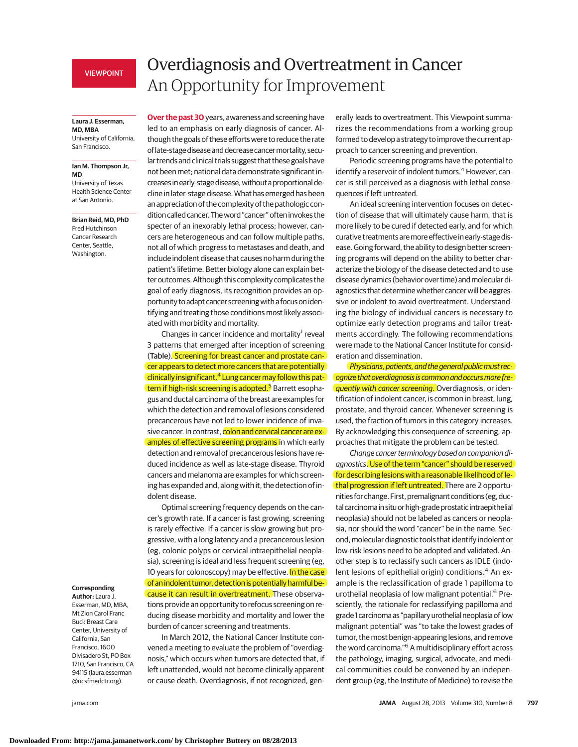## VIEWPOINT

### **Laura J. Esserman, MD, MBA**

University of California, San Francisco.

### **Ian M. Thompson Jr, MD**

University of Texas Health Science Center at San Antonio.

**Brian Reid, MD, PhD** Fred Hutchinson Cancer Research Center, Seattle, Washington.

#### **Corresponding**

**Author:** Laura J. Esserman, MD, MBA, Mt Zion Carol Franc Buck Breast Care Center, University of California, San Francisco, 1600 Divisadero St, PO Box 1710, San Francisco, CA 94115 (laura.esserman @ucsfmedctr.org).

# Overdiagnosis and Overtreatment in Cancer An Opportunity for Improvement

**Over the past 30**years, awareness and screening have led to an emphasis on early diagnosis of cancer. Although the goals of these efforts were to reduce the rate of late-stage diseaseand decrease cancermortality, secular trends and clinical trials suggest that these goals have not been met; national data demonstrate significant increases in early-stage disease, without a proportional decline in later-stage disease.What has emerged has been an appreciation of the complexity of the pathologic condition called cancer. The word "cancer" often invokes the specter of an inexorably lethal process; however, cancers are heterogeneous and can follow multiple paths, not all of which progress to metastases and death, and include indolent disease that causes no harm during the patient's lifetime. Better biology alone can explain better outcomes. Although this complexity complicates the goal of early diagnosis, its recognition provides an opportunity to adapt cancer screening with a focus on identifying and treating those conditions most likely associated with morbidity and mortality.

Changes in cancer incidence and mortality<sup>1</sup> reveal 3 patterns that emerged after inception of screening (Table). Screening for breast cancer and prostate cancer appears to detect more cancers that are potentially clinically insignificant.4 Lung cancer may follow this pattern if high-risk screening is adopted.<sup>5</sup> Barrett esophagus and ductal carcinoma of the breast are examples for which the detection and removal of lesions considered precancerous have not led to lower incidence of invasive cancer. In contrast, colon and cervical cancer are examples of effective screening programs in which early detection and removal of precancerous lesions have reduced incidence as well as late-stage disease. Thyroid cancers and melanoma are examples for which screening has expanded and, along with it, the detection of indolent disease.

Optimal screening frequency depends on the cancer's growth rate. If a cancer is fast growing, screening is rarely effective. If a cancer is slow growing but progressive, with a long latency and a precancerous lesion (eg, colonic polyps or cervical intraepithelial neoplasia), screening is ideal and less frequent screening (eg, 10 years for colonoscopy) may be effective. In the case of an indolent tumor, detection is potentially harmful because it can result in overtreatment. These observations provide an opportunity to refocus screening on reducing disease morbidity and mortality and lower the burden of cancer screening and treatments.

In March 2012, the National Cancer Institute convened a meeting to evaluate the problem of "overdiagnosis," which occurs when tumors are detected that, if left unattended, would not become clinically apparent or cause death. Overdiagnosis, if not recognized, generally leads to overtreatment. This Viewpoint summarizes the recommendations from a working group formed to develop a strategy to improve the current approach to cancer screening and prevention.

Periodic screening programs have the potential to identify a reservoir of indolent tumors.<sup>4</sup> However, cancer is still perceived as a diagnosis with lethal consequences if left untreated.

An ideal screening intervention focuses on detection of disease that will ultimately cause harm, that is more likely to be cured if detected early, and for which curative treatments aremoreeffective inearly-stage disease. Going forward, the ability to design better screening programs will depend on the ability to better characterize the biology of the disease detected and to use disease dynamics (behavior over time) andmolecular diagnostics that determine whether cancer will be aggressive or indolent to avoid overtreatment. Understanding the biology of individual cancers is necessary to optimize early detection programs and tailor treatments accordingly. The following recommendations were made to the National Cancer Institute for consideration and dissemination.

Physicians, patients, and the general public must recognize that overdiagnosis is common and occurs more frequently with cancer screening. Overdiagnosis, or identification of indolent cancer, is common in breast, lung, prostate, and thyroid cancer. Whenever screening is used, the fraction of tumors in this category increases. By acknowledging this consequence of screening, approaches that mitigate the problem can be tested.

Change cancer terminology based on companion diagnostics. Use of the term "cancer" should be reserved for describing lesions with a reasonable likelihood of lethal progression if left untreated. There are 2 opportunities for change. First, premalignant conditions (eg, ductalcarcinoma in situ or high-grade prostatic intraepithelial neoplasia) should not be labeled as cancers or neoplasia, nor should the word "cancer" be in the name. Second, molecular diagnostic tools that identify indolent or low-risk lesions need to be adopted and validated. Another step is to reclassify such cancers as IDLE (indolent lesions of epithelial origin) conditions.<sup>4</sup> An example is the reclassification of grade 1 papilloma to urothelial neoplasia of low malignant potential.<sup>6</sup> Presciently, the rationale for reclassifying papilloma and grade 1 carcinomaas "papillary urothelial neoplasia of low malignant potential" was "to take the lowest grades of tumor, the most benign-appearing lesions, and remove the word carcinoma."6 A multidisciplinary effort across the pathology, imaging, surgical, advocate, and medical communities could be convened by an independent group (eg, the Institute of Medicine) to revise the